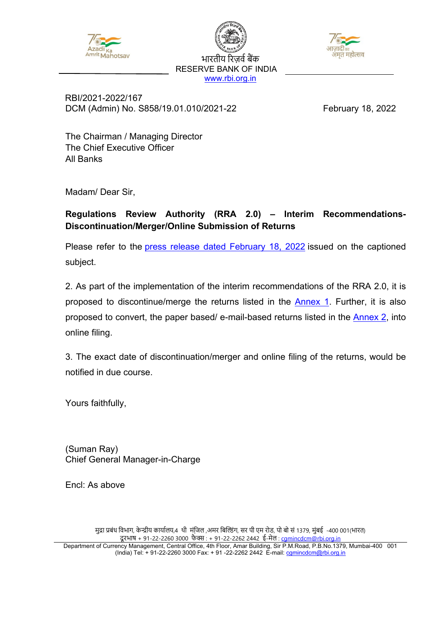

भारतीय रिजर्व बैंक RESERVE BANK OF INDIA [www.rbi.org.in](https://www.rbi.org.in/)



 RBI/2021-2022/167 DCM (Admin) No. S858/19.01.010/2021-22 February 18, 2022

The Chairman / Managing Director The Chief Executive Officer All Banks

Madam/ Dear Sir,

## **Regulations Review Authority (RRA 2.0) – Interim Recommendations-Discontinuation/Merger/Online Submission of Returns**

Please refer to the [press release dated](https://www.rbi.org.in/Scripts/BS_PressReleaseDisplay.aspx?prid=53293) February 18, 2022 issued on the captioned subject.

2. As part of the implementation of the interim recommendations of the RRA 2.0, it is proposed to discontinue/merge the returns listed in the **Annex 1.** Further, it is also proposed to convert, the paper based/ e-mail-based returns listed in the [Annex 2,](#page-2-0) into online filing.

3. The exact date of discontinuation/merger and online filing of the returns, would be notified in due course.

Yours faithfully,

(Suman Ray) Chief General Manager-in-Charge

Encl: As above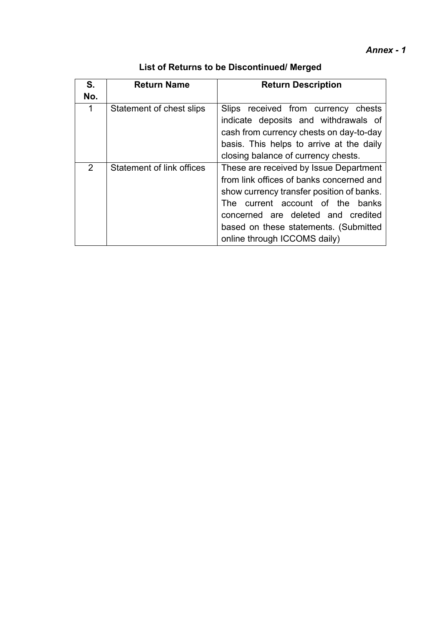| List of Returns to be Discontinued/ Merged |  |  |
|--------------------------------------------|--|--|
|--------------------------------------------|--|--|

<span id="page-1-0"></span>

| S.  | <b>Return Name</b>        | <b>Return Description</b>                                                                                                                                                                                                                                                                |  |
|-----|---------------------------|------------------------------------------------------------------------------------------------------------------------------------------------------------------------------------------------------------------------------------------------------------------------------------------|--|
| No. |                           |                                                                                                                                                                                                                                                                                          |  |
| 1   | Statement of chest slips  | Slips received from currency chests<br>indicate deposits and withdrawals of<br>cash from currency chests on day-to-day<br>basis. This helps to arrive at the daily<br>closing balance of currency chests.                                                                                |  |
| 2   | Statement of link offices | These are received by Issue Department<br>from link offices of banks concerned and<br>show currency transfer position of banks.<br>current account of the<br>banks<br>The<br>concerned are deleted and credited<br>based on these statements. (Submitted<br>online through ICCOMS daily) |  |